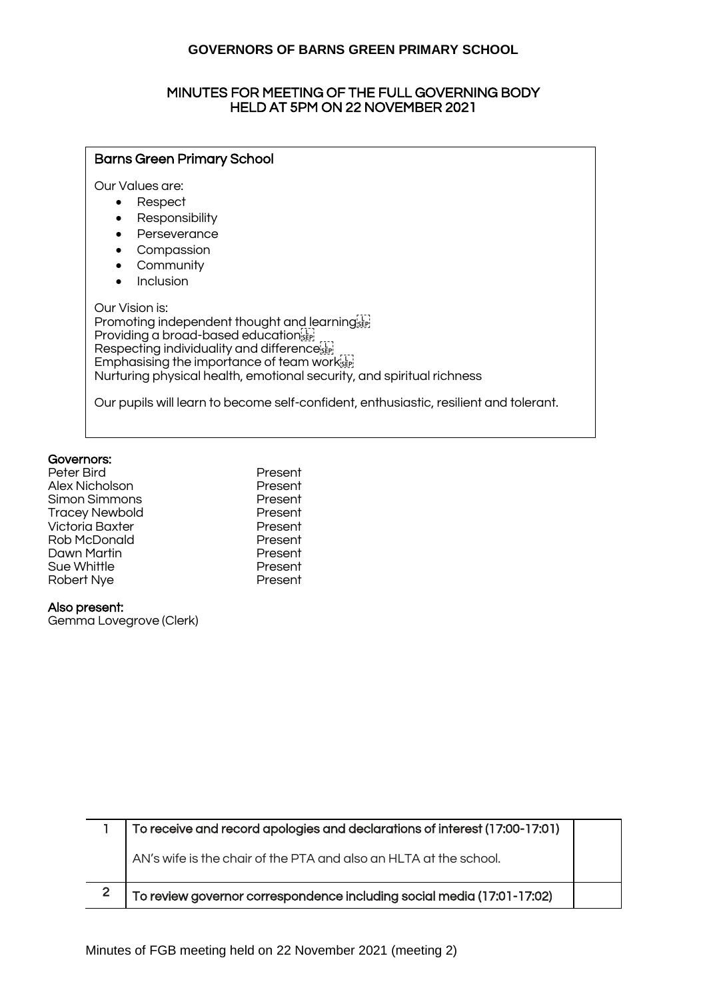#### MINUTES FOR MEETING OF THE FULL GOVERNING BODY HELD AT 5PM ON 22 NOVEMBER 2021

#### Barns Green Primary School

Our Values are:

- Respect
- Responsibility
- Perseverance
- Compassion
- **Community**
- Inclusion

Our Vision is: Promoting independent thought and learning Providing a broad-based education Respecting individuality and differencessing Emphasising the importance of team workster Nurturing physical health, emotional security, and spiritual richness

Our pupils will learn to become self-confident, enthusiastic, resilient and tolerant.

#### Governors:

| Present |
|---------|
| Present |
| Present |
| Present |
| Present |
| Present |
| Present |
| Present |
| Present |
|         |

#### Also present:

Gemma Lovegrove (Clerk)

| To receive and record apologies and declarations of interest (17:00-17:01) |  |
|----------------------------------------------------------------------------|--|
| AN's wife is the chair of the PTA and also an HLTA at the school.          |  |
| To review governor correspondence including social media (17:01-17:02)     |  |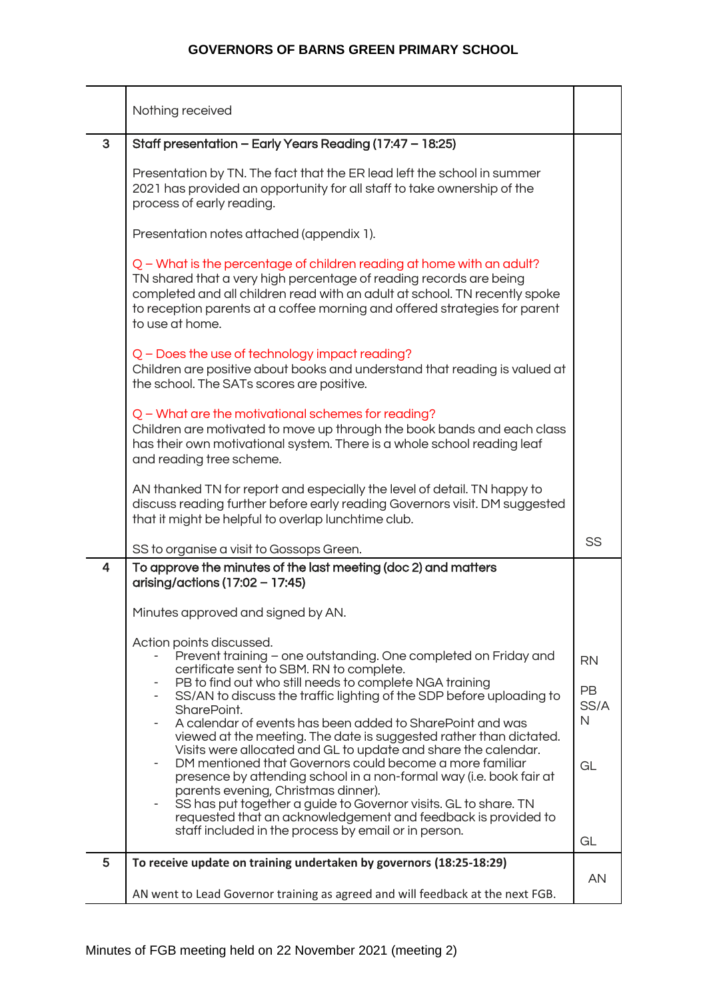|                | Nothing received                                                                                                                                                                                                                                                                                                                                                                                                                     |                        |
|----------------|--------------------------------------------------------------------------------------------------------------------------------------------------------------------------------------------------------------------------------------------------------------------------------------------------------------------------------------------------------------------------------------------------------------------------------------|------------------------|
| 3              | Staff presentation - Early Years Reading (17:47 - 18:25)                                                                                                                                                                                                                                                                                                                                                                             |                        |
|                | Presentation by TN. The fact that the ER lead left the school in summer<br>2021 has provided an opportunity for all staff to take ownership of the<br>process of early reading.                                                                                                                                                                                                                                                      |                        |
|                | Presentation notes attached (appendix 1).                                                                                                                                                                                                                                                                                                                                                                                            |                        |
|                | Q - What is the percentage of children reading at home with an adult?<br>TN shared that a very high percentage of reading records are being<br>completed and all children read with an adult at school. TN recently spoke<br>to reception parents at a coffee morning and offered strategies for parent<br>to use at home.                                                                                                           |                        |
|                | Q - Does the use of technology impact reading?<br>Children are positive about books and understand that reading is valued at<br>the school. The SATs scores are positive.                                                                                                                                                                                                                                                            |                        |
|                | Q - What are the motivational schemes for reading?<br>Children are motivated to move up through the book bands and each class<br>has their own motivational system. There is a whole school reading leaf<br>and reading tree scheme.                                                                                                                                                                                                 |                        |
|                | AN thanked TN for report and especially the level of detail. TN happy to<br>discuss reading further before early reading Governors visit. DM suggested<br>that it might be helpful to overlap lunchtime club.                                                                                                                                                                                                                        |                        |
|                | SS to organise a visit to Gossops Green.                                                                                                                                                                                                                                                                                                                                                                                             | SS                     |
| $\overline{4}$ | To approve the minutes of the last meeting (doc 2) and matters<br>arising/actions $(17:02 - 17:45)$                                                                                                                                                                                                                                                                                                                                  |                        |
|                | Minutes approved and signed by AN.                                                                                                                                                                                                                                                                                                                                                                                                   |                        |
|                | Action points discussed.<br>Prevent training - one outstanding. One completed on Friday and                                                                                                                                                                                                                                                                                                                                          | <b>RN</b>              |
|                | certificate sent to SBM. RN to complete.<br>PB to find out who still needs to complete NGA training<br>SS/AN to discuss the traffic lighting of the SDP before uploading to<br>SharePoint.<br>A calendar of events has been added to SharePoint and was<br>viewed at the meeting. The date is suggested rather than dictated.                                                                                                        | <b>PB</b><br>SS/A<br>N |
|                | Visits were allocated and GL to update and share the calendar.<br>DM mentioned that Governors could become a more familiar<br>presence by attending school in a non-formal way (i.e. book fair at<br>parents evening, Christmas dinner).<br>SS has put together a guide to Governor visits. GL to share. TN<br>requested that an acknowledgement and feedback is provided to<br>staff included in the process by email or in person. | GL<br>GL               |
| 5              | To receive update on training undertaken by governors (18:25-18:29)                                                                                                                                                                                                                                                                                                                                                                  |                        |
|                | AN went to Lead Governor training as agreed and will feedback at the next FGB.                                                                                                                                                                                                                                                                                                                                                       | AN                     |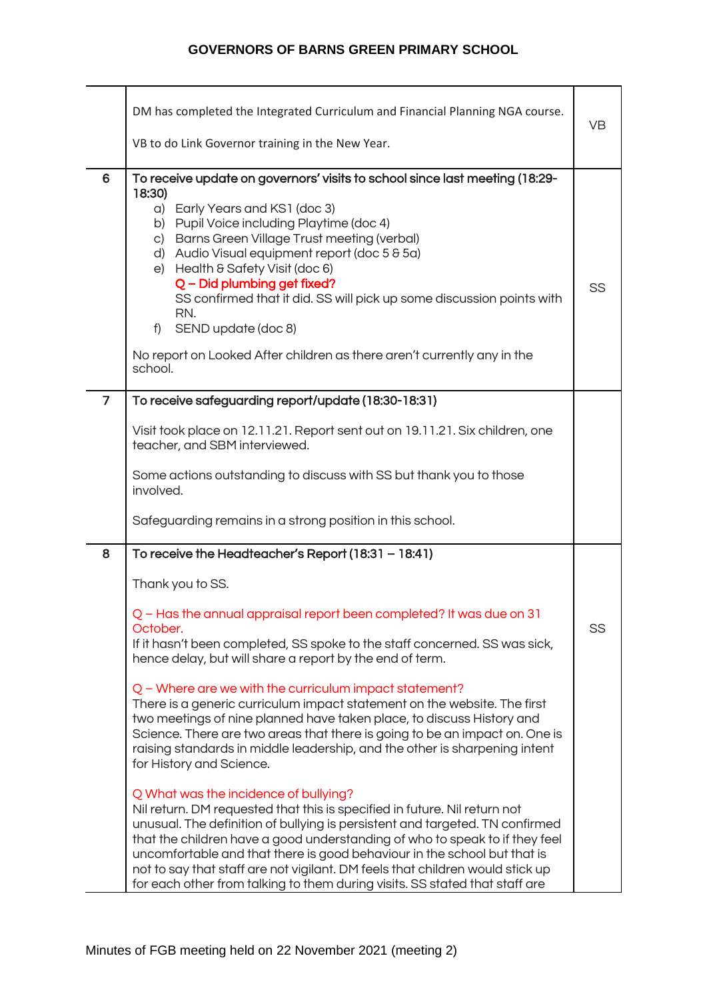|                | DM has completed the Integrated Curriculum and Financial Planning NGA course.<br>VB to do Link Governor training in the New Year.                                                                                                                                                                                                                                                                                                                                                                                                                                                                                                                                                                                                                                                                                                                                                                                                                                                                                                                                                                                                                                                                                                                | VB |
|----------------|--------------------------------------------------------------------------------------------------------------------------------------------------------------------------------------------------------------------------------------------------------------------------------------------------------------------------------------------------------------------------------------------------------------------------------------------------------------------------------------------------------------------------------------------------------------------------------------------------------------------------------------------------------------------------------------------------------------------------------------------------------------------------------------------------------------------------------------------------------------------------------------------------------------------------------------------------------------------------------------------------------------------------------------------------------------------------------------------------------------------------------------------------------------------------------------------------------------------------------------------------|----|
| 6              | To receive update on governors' visits to school since last meeting (18:29-<br>18:30)<br>a) Early Years and KS1 (doc 3)<br>b) Pupil Voice including Playtime (doc 4)<br>c) Barns Green Village Trust meeting (verbal)<br>d) Audio Visual equipment report (doc 5 & 5a)<br>e) Health & Safety Visit (doc 6)<br>$Q$ – Did plumbing get fixed?<br>SS confirmed that it did. SS will pick up some discussion points with<br>RN.<br>SEND update (doc 8)<br>f)<br>No report on Looked After children as there aren't currently any in the<br>school.                                                                                                                                                                                                                                                                                                                                                                                                                                                                                                                                                                                                                                                                                                   | SS |
| $\overline{7}$ | To receive safeguarding report/update (18:30-18:31)<br>Visit took place on 12.11.21. Report sent out on 19.11.21. Six children, one<br>teacher, and SBM interviewed.<br>Some actions outstanding to discuss with SS but thank you to those<br>involved.<br>Safeguarding remains in a strong position in this school.                                                                                                                                                                                                                                                                                                                                                                                                                                                                                                                                                                                                                                                                                                                                                                                                                                                                                                                             |    |
| 8              | To receive the Headteacher's Report $(18:31 - 18:41)$<br>Thank you to SS.<br>Q - Has the annual appraisal report been completed? It was due on 31<br>October.<br>If it hasn't been completed, SS spoke to the staff concerned. SS was sick,<br>hence delay, but will share a report by the end of term.<br>Q - Where are we with the curriculum impact statement?<br>There is a generic curriculum impact statement on the website. The first<br>two meetings of nine planned have taken place, to discuss History and<br>Science. There are two areas that there is going to be an impact on. One is<br>raising standards in middle leadership, and the other is sharpening intent<br>for History and Science.<br>Q What was the incidence of bullying?<br>Nil return. DM requested that this is specified in future. Nil return not<br>unusual. The definition of bullying is persistent and targeted. TN confirmed<br>that the children have a good understanding of who to speak to if they feel<br>uncomfortable and that there is good behaviour in the school but that is<br>not to say that staff are not vigilant. DM feels that children would stick up<br>for each other from talking to them during visits. SS stated that staff are | SS |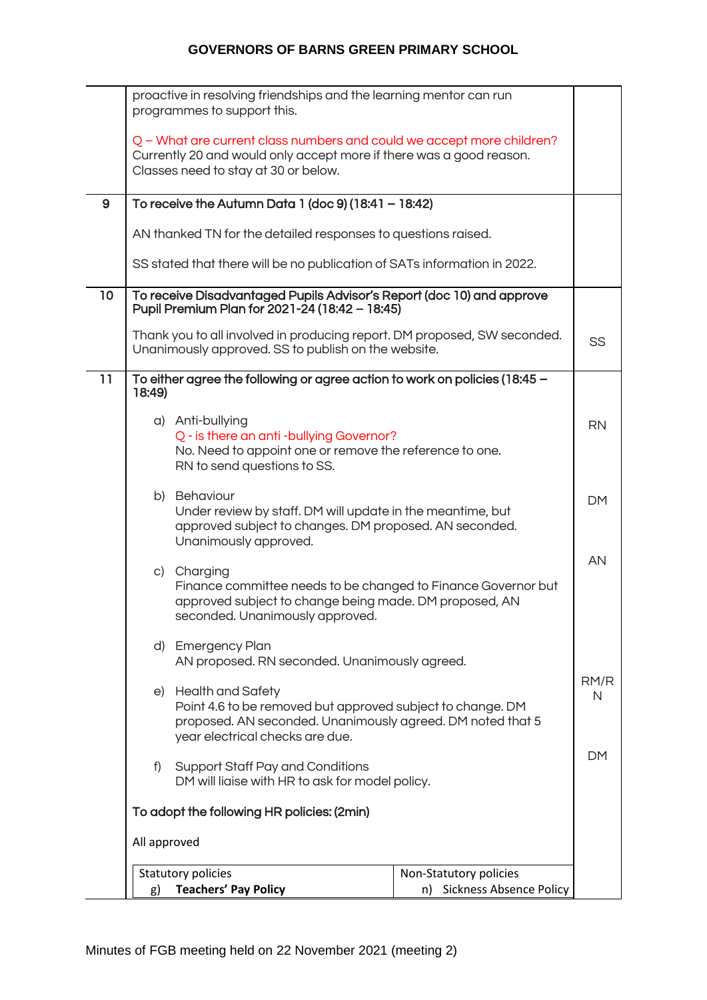|    | proactive in resolving friendships and the learning mentor can run<br>programmes to support this.                                                                                           |                                                                |           |  |
|----|---------------------------------------------------------------------------------------------------------------------------------------------------------------------------------------------|----------------------------------------------------------------|-----------|--|
|    | Q - What are current class numbers and could we accept more children?<br>Currently 20 and would only accept more if there was a good reason.<br>Classes need to stay at 30 or below.        |                                                                |           |  |
| 9  | To receive the Autumn Data 1 (doc 9) $(18.41 - 18.42)$                                                                                                                                      |                                                                |           |  |
|    | AN thanked TN for the detailed responses to questions raised.                                                                                                                               |                                                                |           |  |
|    | SS stated that there will be no publication of SATs information in 2022.                                                                                                                    |                                                                |           |  |
| 10 | To receive Disadvantaged Pupils Advisor's Report (doc 10) and approve<br>Pupil Premium Plan for 2021-24 (18:42 - 18:45)                                                                     |                                                                |           |  |
|    | Thank you to all involved in producing report. DM proposed, SW seconded.<br>Unanimously approved. SS to publish on the website.                                                             |                                                                | SS        |  |
| 11 | To either agree the following or agree action to work on policies (18:45 -<br>18:49)                                                                                                        |                                                                |           |  |
|    | a) Anti-bullying<br>Q - is there an anti-bullying Governor?<br>No. Need to appoint one or remove the reference to one.<br>RN to send questions to SS.                                       |                                                                | <b>RN</b> |  |
|    | b) Behaviour<br>Under review by staff. DM will update in the meantime, but<br>approved subject to changes. DM proposed. AN seconded.<br>Unanimously approved.                               |                                                                | <b>DM</b> |  |
|    | c) Charging<br>Finance committee needs to be changed to Finance Governor but<br>approved subject to change being made. DM proposed, AN<br>seconded. Unanimously approved.                   |                                                                | AN        |  |
|    | d) Emergency Plan<br>AN proposed. RN seconded. Unanimously agreed.                                                                                                                          |                                                                |           |  |
|    | RM/R<br>e) Health and Safety<br>Point 4.6 to be removed but approved subject to change. DM<br>proposed. AN seconded. Unanimously agreed. DM noted that 5<br>year electrical checks are due. |                                                                |           |  |
|    | f)<br>Support Staff Pay and Conditions<br>DM will liaise with HR to ask for model policy.                                                                                                   |                                                                | DM        |  |
|    | To adopt the following HR policies: (2min)                                                                                                                                                  |                                                                |           |  |
|    | All approved                                                                                                                                                                                |                                                                |           |  |
|    |                                                                                                                                                                                             |                                                                |           |  |
|    | <b>Statutory policies</b><br><b>Teachers' Pay Policy</b><br>g)                                                                                                                              | Non-Statutory policies<br><b>Sickness Absence Policy</b><br>n) |           |  |
|    |                                                                                                                                                                                             |                                                                |           |  |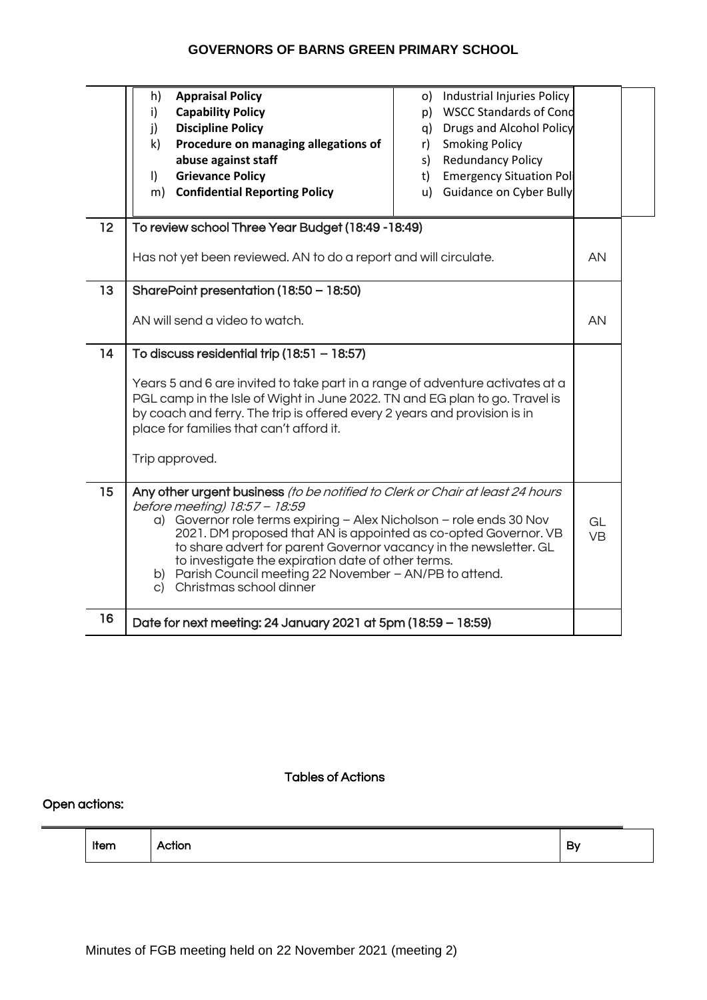|    | <b>Appraisal Policy</b><br>h)<br><b>Capability Policy</b><br>i)<br>j)<br><b>Discipline Policy</b><br>$\mathsf{k}$<br>Procedure on managing allegations of<br>abuse against staff<br><b>Grievance Policy</b><br>$\vert$<br><b>Confidential Reporting Policy</b><br>m)                                                                                                                                                                                                             | Industrial Injuries Policy<br>o)<br><b>WSCC Standards of Cond</b><br>p)<br><b>Drugs and Alcohol Policy</b><br>q)<br><b>Smoking Policy</b><br>r)<br><b>Redundancy Policy</b><br>s)<br><b>Emergency Situation Pol</b><br>t)<br><b>Guidance on Cyber Bully</b><br>u) |                 |  |
|----|----------------------------------------------------------------------------------------------------------------------------------------------------------------------------------------------------------------------------------------------------------------------------------------------------------------------------------------------------------------------------------------------------------------------------------------------------------------------------------|-------------------------------------------------------------------------------------------------------------------------------------------------------------------------------------------------------------------------------------------------------------------|-----------------|--|
| 12 | To review school Three Year Budget (18:49 - 18:49)                                                                                                                                                                                                                                                                                                                                                                                                                               |                                                                                                                                                                                                                                                                   |                 |  |
|    | Has not yet been reviewed. AN to do a report and will circulate.                                                                                                                                                                                                                                                                                                                                                                                                                 |                                                                                                                                                                                                                                                                   | <b>AN</b>       |  |
| 13 | SharePoint presentation (18:50 - 18:50)                                                                                                                                                                                                                                                                                                                                                                                                                                          |                                                                                                                                                                                                                                                                   |                 |  |
|    | AN will send a video to watch.                                                                                                                                                                                                                                                                                                                                                                                                                                                   |                                                                                                                                                                                                                                                                   |                 |  |
| 14 | To discuss residential trip $(18.51 - 18.57)$                                                                                                                                                                                                                                                                                                                                                                                                                                    |                                                                                                                                                                                                                                                                   |                 |  |
|    | Years 5 and 6 are invited to take part in a range of adventure activates at a<br>PGL camp in the Isle of Wight in June 2022. TN and EG plan to go. Travel is<br>by coach and ferry. The trip is offered every 2 years and provision is in<br>place for families that can't afford it.                                                                                                                                                                                            |                                                                                                                                                                                                                                                                   |                 |  |
|    | Trip approved.                                                                                                                                                                                                                                                                                                                                                                                                                                                                   |                                                                                                                                                                                                                                                                   |                 |  |
| 15 | Any other urgent business (to be notified to Clerk or Chair at least 24 hours<br>before meeting) 18:57 - 18:59<br>a) Governor role terms expiring - Alex Nicholson - role ends 30 Nov<br>2021. DM proposed that AN is appointed as co-opted Governor. VB<br>to share advert for parent Governor vacancy in the newsletter. GL<br>to investigate the expiration date of other terms.<br>b) Parish Council meeting 22 November - AN/PB to attend.<br>Christmas school dinner<br>C) |                                                                                                                                                                                                                                                                   | GL<br><b>VB</b> |  |
| 16 | Date for next meeting: 24 January 2021 at 5pm (18:59 - 18:59)                                                                                                                                                                                                                                                                                                                                                                                                                    |                                                                                                                                                                                                                                                                   |                 |  |

#### Tables of Actions

# Open actions:

| $ $ Item<br>$ $ Action |  | By |
|------------------------|--|----|
|------------------------|--|----|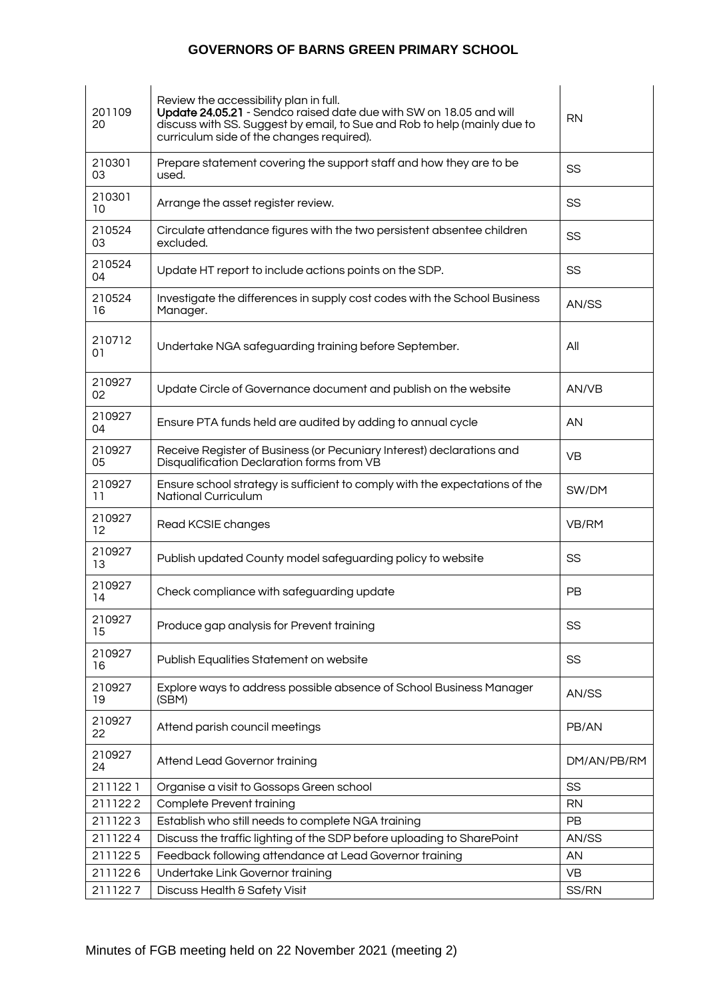| 201109<br>20 | Review the accessibility plan in full.<br>Update 24.05.21 - Sendco raised date due with SW on 18.05 and will<br>discuss with SS. Suggest by email, to Sue and Rob to help (mainly due to<br>curriculum side of the changes required). | <b>RN</b>   |
|--------------|---------------------------------------------------------------------------------------------------------------------------------------------------------------------------------------------------------------------------------------|-------------|
| 210301<br>03 | Prepare statement covering the support staff and how they are to be<br>used.                                                                                                                                                          | SS          |
| 210301<br>10 | Arrange the asset register review.                                                                                                                                                                                                    | SS          |
| 210524<br>03 | Circulate attendance figures with the two persistent absentee children<br>excluded.                                                                                                                                                   | SS          |
| 210524<br>04 | Update HT report to include actions points on the SDP.                                                                                                                                                                                | SS          |
| 210524<br>16 | Investigate the differences in supply cost codes with the School Business<br>Manager.                                                                                                                                                 | AN/SS       |
| 210712<br>01 | Undertake NGA safeguarding training before September.                                                                                                                                                                                 | All         |
| 210927<br>02 | Update Circle of Governance document and publish on the website                                                                                                                                                                       | AN/VB       |
| 210927<br>04 | Ensure PTA funds held are audited by adding to annual cycle                                                                                                                                                                           | AN          |
| 210927<br>05 | Receive Register of Business (or Pecuniary Interest) declarations and<br>Disqualification Declaration forms from VB                                                                                                                   | <b>VB</b>   |
| 210927<br>11 | Ensure school strategy is sufficient to comply with the expectations of the<br><b>National Curriculum</b>                                                                                                                             | SW/DM       |
| 210927<br>12 | Read KCSIE changes                                                                                                                                                                                                                    | VB/RM       |
| 210927<br>13 | Publish updated County model safeguarding policy to website                                                                                                                                                                           | SS          |
| 210927<br>14 | Check compliance with safeguarding update                                                                                                                                                                                             | <b>PB</b>   |
| 210927<br>15 | Produce gap analysis for Prevent training                                                                                                                                                                                             | SS          |
| 210927<br>16 | Publish Equalities Statement on website                                                                                                                                                                                               | SS          |
| 210927<br>19 | Explore ways to address possible absence of School Business Manager<br>(SBM)                                                                                                                                                          | AN/SS       |
| 210927<br>22 | Attend parish council meetings                                                                                                                                                                                                        | PB/AN       |
| 210927<br>24 | Attend Lead Governor training                                                                                                                                                                                                         | DM/AN/PB/RM |
| 2111221      | Organise a visit to Gossops Green school                                                                                                                                                                                              | SS          |
| 2111222      | <b>Complete Prevent training</b>                                                                                                                                                                                                      | <b>RN</b>   |
| 2111223      | Establish who still needs to complete NGA training                                                                                                                                                                                    | PB          |
| 2111224      | Discuss the traffic lighting of the SDP before uploading to SharePoint                                                                                                                                                                | AN/SS       |
| 2111225      | Feedback following attendance at Lead Governor training                                                                                                                                                                               | AN          |
| 2111226      | Undertake Link Governor training                                                                                                                                                                                                      | VB          |
| 2111227      | Discuss Health & Safety Visit                                                                                                                                                                                                         | SS/RN       |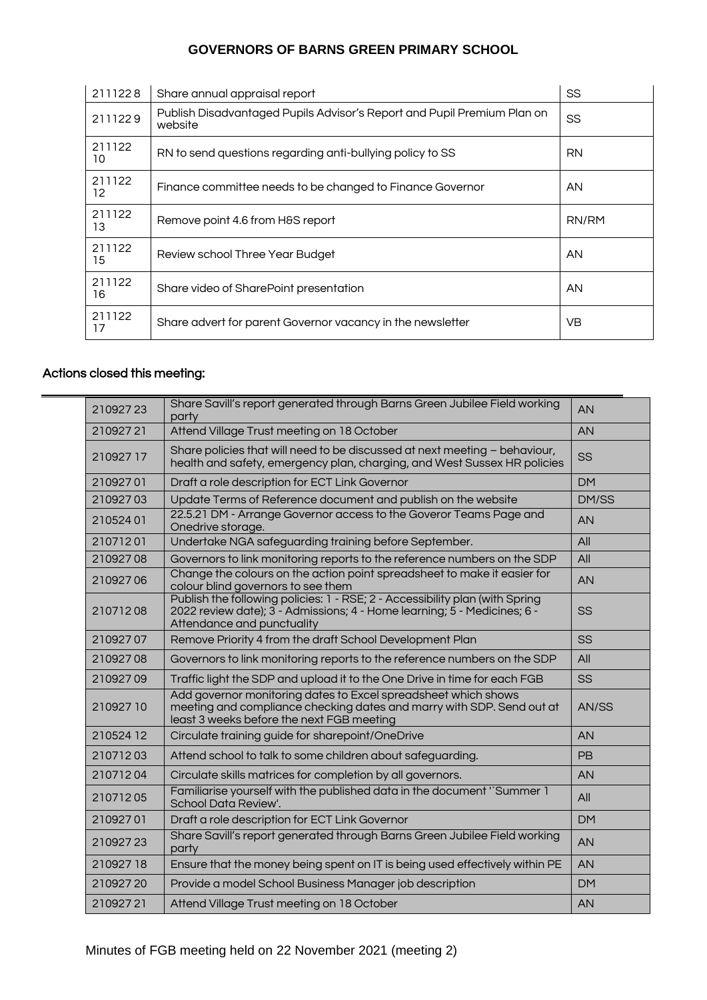| 2111228      | Share annual appraisal report                                                      | SS        |
|--------------|------------------------------------------------------------------------------------|-----------|
| 2111229      | Publish Disadvantaged Pupils Advisor's Report and Pupil Premium Plan on<br>website | SS        |
| 211122<br>10 | RN to send questions regarding anti-bullying policy to SS                          | <b>RN</b> |
| 211122<br>12 | Finance committee needs to be changed to Finance Governor                          | AN        |
| 211122<br>13 | Remove point 4.6 from H&S report                                                   | RN/RM     |
| 211122<br>15 | Review school Three Year Budget                                                    | AN        |
| 211122<br>16 | Share video of SharePoint presentation                                             | AN        |
| 211122<br>17 | Share advert for parent Governor vacancy in the newsletter                         | VB        |

#### Actions closed this meeting:

 $\overline{\phantom{0}}$ 

| 21092723 | Share Savill's report generated through Barns Green Jubilee Field working<br>party                                                                                                     | AN        |
|----------|----------------------------------------------------------------------------------------------------------------------------------------------------------------------------------------|-----------|
| 21092721 | Attend Village Trust meeting on 18 October                                                                                                                                             | <b>AN</b> |
| 21092717 | Share policies that will need to be discussed at next meeting - behaviour,<br>health and safety, emergency plan, charging, and West Sussex HR policies                                 | <b>SS</b> |
| 21092701 | Draft a role description for ECT Link Governor                                                                                                                                         | <b>DM</b> |
| 21092703 | Update Terms of Reference document and publish on the website                                                                                                                          | DM/SS     |
| 21052401 | 22.5.21 DM - Arrange Governor access to the Goveror Teams Page and<br>Onedrive storage.                                                                                                | <b>AN</b> |
| 21071201 | Undertake NGA safeguarding training before September.                                                                                                                                  | All       |
| 21092708 | Governors to link monitoring reports to the reference numbers on the SDP                                                                                                               | All       |
| 21092706 | Change the colours on the action point spreadsheet to make it easier for<br>colour blind governors to see them                                                                         | <b>AN</b> |
| 21071208 | Publish the following policies: 1 - RSE; 2 - Accessibility plan (with Spring<br>2022 review date); 3 - Admissions; 4 - Home learning; 5 - Medicines; 6 -<br>Attendance and punctuality | <b>SS</b> |
| 21092707 | Remove Priority 4 from the draft School Development Plan                                                                                                                               | <b>SS</b> |
| 21092708 | Governors to link monitoring reports to the reference numbers on the SDP                                                                                                               | All       |
| 21092709 | Traffic light the SDP and upload it to the One Drive in time for each FGB                                                                                                              | SS        |
| 21092710 | Add governor monitoring dates to Excel spreadsheet which shows<br>meeting and compliance checking dates and marry with SDP. Send out at<br>least 3 weeks before the next FGB meeting   | AN/SS     |
| 21052412 | Circulate training guide for sharepoint/OneDrive                                                                                                                                       | <b>AN</b> |
| 21071203 | Attend school to talk to some children about safeguarding.                                                                                                                             | <b>PB</b> |
| 21071204 | Circulate skills matrices for completion by all governors.                                                                                                                             | AN        |
| 21071205 | Familiarise yourself with the published data in the document "Summer 1<br><b>School Data Review'.</b>                                                                                  | All       |
| 21092701 | Draft a role description for ECT Link Governor                                                                                                                                         | <b>DM</b> |
| 21092723 | Share Savill's report generated through Barns Green Jubilee Field working<br>party                                                                                                     | <b>AN</b> |
| 21092718 | Ensure that the money being spent on IT is being used effectively within PE                                                                                                            | <b>AN</b> |
| 21092720 | Provide a model School Business Manager job description                                                                                                                                | <b>DM</b> |
| 21092721 | Attend Village Trust meeting on 18 October                                                                                                                                             | <b>AN</b> |
|          |                                                                                                                                                                                        |           |